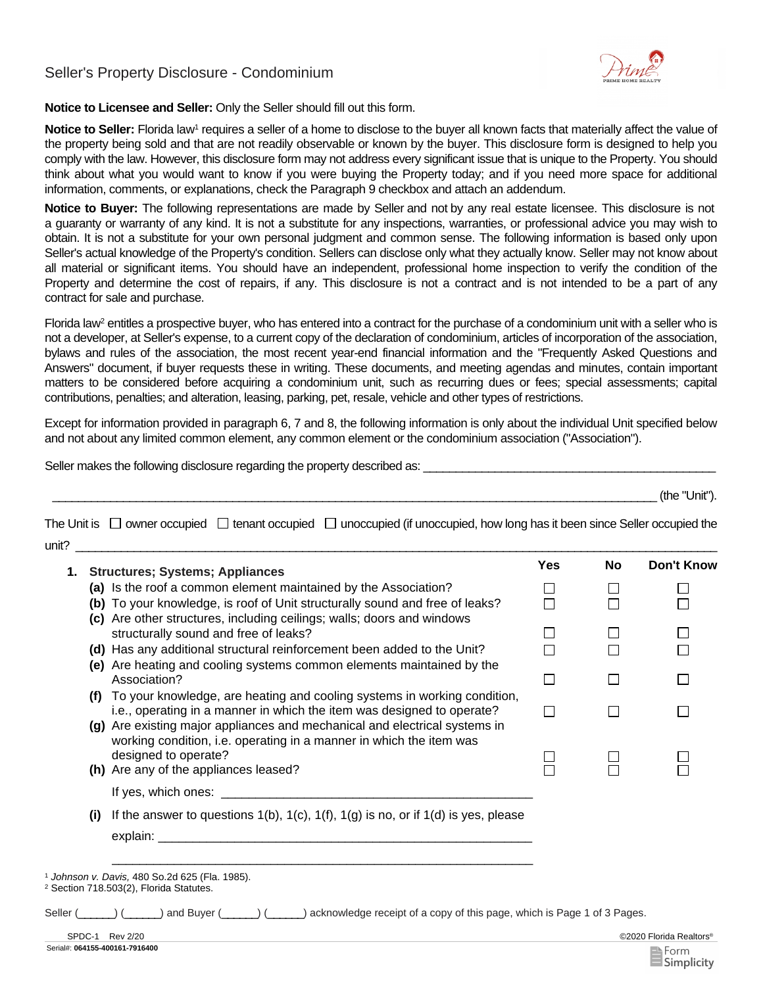## Seller's Property Disclosure - Condominium



**Notice to Licensee and Seller:** Only the Seller should fill out this form.

**Notice to Seller:** Florida law1 requires a seller of a home to disclose to the buyer all known facts that materially affect the value of the property being sold and that are not readily observable or known by the buyer. This disclosure form is designed to help you comply with the law. However, this disclosure form may not address every significant issue that is unique to the Property. You should think about what you would want to know if you were buying the Property today; and if you need more space for additional information, comments, or explanations, check the Paragraph 9 checkbox and attach an addendum.

**Notice to Buyer:** The following representations are made by Seller and not by any real estate licensee. This disclosure is not a guaranty or warranty of any kind. It is not a substitute for any inspections, warranties, or professional advice you may wish to obtain. It is not a substitute for your own personal judgment and common sense. The following information is based only upon Seller's actual knowledge of the Property's condition. Sellers can disclose only what they actually know. Seller may not know about all material or significant items. You should have an independent, professional home inspection to verify the condition of the Property and determine the cost of repairs, if any. This disclosure is not a contract and is not intended to be a part of any contract for sale and purchase.

Florida law<sup>2</sup> entitles a prospective buyer, who has entered into a contract for the purchase of a condominium unit with a seller who is not a developer, at Seller's expense, to a current copy of the declaration of condominium, articles of incorporation of the association, bylaws and rules of the association, the most recent year-end financial information and the "Frequently Asked Questions and Answers" document, if buyer requests these in writing. These documents, and meeting agendas and minutes, contain important matters to be considered before acquiring a condominium unit, such as recurring dues or fees; special assessments; capital contributions, penalties; and alteration, leasing, parking, pet, resale, vehicle and other types of restrictions.

Except for information provided in paragraph 6, 7 and 8, the following information is only about the individual Unit specified below and not about any limited common element, any common element or the condominium association ("Association").

Seller makes the following disclosure regarding the property described as:

\_\_\_\_\_\_\_\_\_\_\_\_\_\_\_\_\_\_\_\_\_\_\_\_\_\_\_\_\_\_\_\_\_\_\_\_\_\_\_\_\_\_\_\_\_\_\_\_\_\_\_\_\_\_\_\_\_\_\_\_\_\_\_\_\_\_\_\_\_\_\_\_\_\_\_\_\_\_\_\_\_\_\_\_\_\_\_\_\_\_\_\_\_\_ (the "Unit").

The Unit is  $\Box$  owner occupied  $\Box$  tenant occupied  $\Box$  unoccupied (if unoccupied, how long has it been since Seller occupied the  $unit?$ 

| 1.  | <b>Structures; Systems; Appliances</b>                                                                                                                                                                                           | <b>Yes</b> | No     | Don't Know              |
|-----|----------------------------------------------------------------------------------------------------------------------------------------------------------------------------------------------------------------------------------|------------|--------|-------------------------|
|     | (a) Is the roof a common element maintained by the Association?                                                                                                                                                                  |            |        |                         |
|     | (b) To your knowledge, is roof of Unit structurally sound and free of leaks?                                                                                                                                                     |            |        |                         |
|     | (c) Are other structures, including ceilings; walls; doors and windows<br>structurally sound and free of leaks?                                                                                                                  |            |        |                         |
|     | (d) Has any additional structural reinforcement been added to the Unit?                                                                                                                                                          |            |        |                         |
|     | (e) Are heating and cooling systems common elements maintained by the<br>Association?                                                                                                                                            | $\Box$     | $\Box$ |                         |
| (f) | To your knowledge, are heating and cooling systems in working condition,<br>i.e., operating in a manner in which the item was designed to operate?<br>(g) Are existing major appliances and mechanical and electrical systems in | П          | П      |                         |
|     | working condition, i.e. operating in a manner in which the item was<br>designed to operate?<br>(h) Are any of the appliances leased?                                                                                             |            |        |                         |
|     |                                                                                                                                                                                                                                  |            |        |                         |
| (i) | If the answer to questions $1(b)$ , $1(c)$ , $1(f)$ , $1(g)$ is no, or if $1(d)$ is yes, please                                                                                                                                  |            |        |                         |
|     | explain: ___________                                                                                                                                                                                                             |            |        |                         |
|     | <sup>1</sup> Johnson v. Davis, 480 So.2d 625 (Fla. 1985).<br><sup>2</sup> Section 718.503(2), Florida Statutes.                                                                                                                  |            |        |                         |
|     | Seller ( Comparent Land Buyer ( Comparent Land Buyer ( Comparent Disputed Comparent of a copy of this page, which is Page 1 of 3 Pages.                                                                                          |            |        |                         |
|     | SPDC-1 Rev 2/20                                                                                                                                                                                                                  |            |        | ©2020 Florida Realtors® |

Serial#: **064155-400161-7916400**

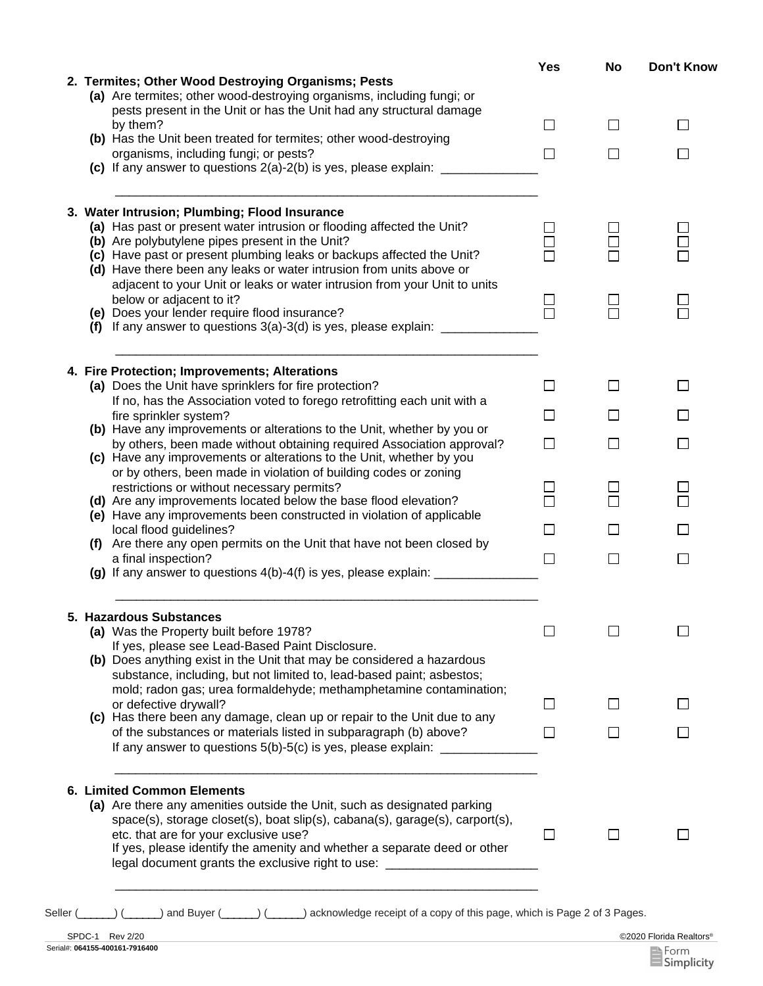|  |                                                                                                                                    | Yes                         | No             | Don't Know   |
|--|------------------------------------------------------------------------------------------------------------------------------------|-----------------------------|----------------|--------------|
|  | 2. Termites; Other Wood Destroying Organisms; Pests                                                                                |                             |                |              |
|  | (a) Are termites; other wood-destroying organisms, including fungi; or                                                             |                             |                |              |
|  | pests present in the Unit or has the Unit had any structural damage                                                                |                             |                |              |
|  | by them?                                                                                                                           | $\Box$                      | $\Box$         | $\mathsf{L}$ |
|  | (b) Has the Unit been treated for termites; other wood-destroying<br>organisms, including fungi; or pests?                         | $\Box$                      | $\blacksquare$ |              |
|  | (c) If any answer to questions $2(a)-2(b)$ is yes, please explain: _________________                                               |                             |                |              |
|  |                                                                                                                                    |                             |                |              |
|  |                                                                                                                                    |                             |                |              |
|  | 3. Water Intrusion; Plumbing; Flood Insurance                                                                                      |                             |                |              |
|  | (a) Has past or present water intrusion or flooding affected the Unit?                                                             |                             |                |              |
|  | (b) Are polybutylene pipes present in the Unit?                                                                                    |                             |                |              |
|  | (c) Have past or present plumbing leaks or backups affected the Unit?                                                              |                             |                |              |
|  | (d) Have there been any leaks or water intrusion from units above or                                                               |                             |                |              |
|  | adjacent to your Unit or leaks or water intrusion from your Unit to units<br>below or adjacent to it?                              |                             |                |              |
|  | (e) Does your lender require flood insurance?                                                                                      | $\Box$<br>$\overline{\Box}$ |                |              |
|  | (f) If any answer to questions $3(a)$ -3(d) is yes, please explain: $\frac{1}{2(a-1)(a-1)}$                                        |                             |                |              |
|  |                                                                                                                                    |                             |                |              |
|  |                                                                                                                                    |                             |                |              |
|  | 4. Fire Protection; Improvements; Alterations                                                                                      |                             |                |              |
|  | (a) Does the Unit have sprinklers for fire protection?<br>If no, has the Association voted to forego retrofitting each unit with a | $\Box$                      |                |              |
|  | fire sprinkler system?                                                                                                             | $\Box$                      |                |              |
|  | (b) Have any improvements or alterations to the Unit, whether by you or                                                            |                             |                |              |
|  | by others, been made without obtaining required Association approval?                                                              | П                           |                |              |
|  | (c) Have any improvements or alterations to the Unit, whether by you                                                               |                             |                |              |
|  | or by others, been made in violation of building codes or zoning                                                                   |                             |                |              |
|  | restrictions or without necessary permits?                                                                                         | l 1                         |                |              |
|  | (d) Are any improvements located below the base flood elevation?                                                                   | П                           |                |              |
|  | (e) Have any improvements been constructed in violation of applicable                                                              |                             |                |              |
|  | local flood guidelines?<br>(f) Are there any open permits on the Unit that have not been closed by                                 | $\Box$                      |                |              |
|  | a final inspection?                                                                                                                | $\Box$                      | П              |              |
|  |                                                                                                                                    |                             |                |              |
|  |                                                                                                                                    |                             |                |              |
|  | 5. Hazardous Substances                                                                                                            |                             |                |              |
|  | (a) Was the Property built before 1978?                                                                                            |                             |                |              |
|  | If yes, please see Lead-Based Paint Disclosure.                                                                                    |                             |                |              |
|  | (b) Does anything exist in the Unit that may be considered a hazardous                                                             |                             |                |              |
|  | substance, including, but not limited to, lead-based paint; asbestos;                                                              |                             |                |              |
|  | mold; radon gas; urea formaldehyde; methamphetamine contamination;                                                                 |                             |                |              |
|  | or defective drywall?                                                                                                              | П                           |                |              |
|  | (c) Has there been any damage, clean up or repair to the Unit due to any                                                           |                             |                |              |
|  | of the substances or materials listed in subparagraph (b) above?                                                                   | $\mathsf{L}$                |                |              |
|  | If any answer to questions 5(b)-5(c) is yes, please explain: ____                                                                  |                             |                |              |
|  |                                                                                                                                    |                             |                |              |
|  | <b>6. Limited Common Elements</b>                                                                                                  |                             |                |              |
|  | (a) Are there any amenities outside the Unit, such as designated parking                                                           |                             |                |              |
|  | space(s), storage closet(s), boat slip(s), cabana(s), garage(s), carport(s),<br>etc. that are for your exclusive use?              | $\mathsf{L}$                |                |              |
|  | If yes, please identify the amenity and whether a separate deed or other                                                           |                             |                |              |
|  | legal document grants the exclusive right to use: ______________________________                                                   |                             |                |              |
|  |                                                                                                                                    |                             |                |              |
|  |                                                                                                                                    |                             |                |              |

| Seller i<br>) acknowledge receipt of a copy of this page, which is Page 2 of 3 Pages.<br>and Buver ( |  |  |
|------------------------------------------------------------------------------------------------------|--|--|
|------------------------------------------------------------------------------------------------------|--|--|